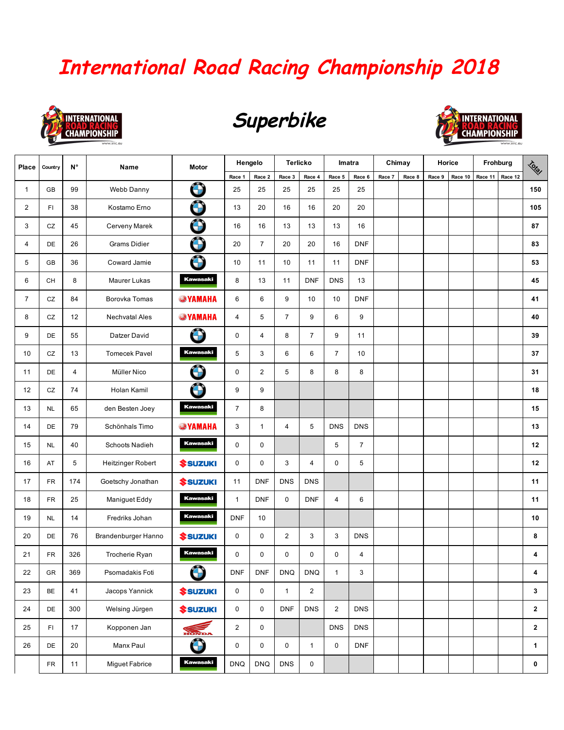## **International Road Racing Championship 2018**



## **Superbike**



| Place          | Country   | N°  | Name                  | <b>Motor</b>                 | Hengelo        |                         | <b>Terlicko</b> |                | Imatra         |                | Chimay |        | Horice |         | Frohburg |         | <b>Total</b> |
|----------------|-----------|-----|-----------------------|------------------------------|----------------|-------------------------|-----------------|----------------|----------------|----------------|--------|--------|--------|---------|----------|---------|--------------|
|                |           |     |                       |                              | Race 1         | Race 2                  | Race 3          | Race 4         | Race 5         | Race 6         | Race 7 | Race 8 | Race 9 | Race 10 | Race 11  | Race 12 |              |
| 1              | GB        | 99  | Webb Danny            | Ô                            | 25             | 25                      | 25              | 25             | 25             | 25             |        |        |        |         |          |         | 150          |
| $\overline{2}$ | FI        | 38  | Kostamo Erno          | $\bigcirc$                   | 13             | 20                      | 16              | 16             | 20             | 20             |        |        |        |         |          |         | 105          |
| 3              | CZ        | 45  | Cerveny Marek         | $\bigodot$                   | 16             | 16                      | 13              | 13             | 13             | 16             |        |        |        |         |          |         | 87           |
| 4              | DE        | 26  | <b>Grams Didier</b>   | Ô                            | 20             | $\overline{7}$          | 20              | 20             | 16             | <b>DNF</b>     |        |        |        |         |          |         | 83           |
| 5              | GB        | 36  | Coward Jamie          | $\bigcirc$                   | 10             | 11                      | 10              | 11             | 11             | <b>DNF</b>     |        |        |        |         |          |         | 53           |
| 6              | CH        | 8   | Maurer Lukas          | <b>Kawasaki</b>              | 8              | 13                      | 11              | <b>DNF</b>     | <b>DNS</b>     | 13             |        |        |        |         |          |         | 45           |
| $\overline{7}$ | CZ        | 84  | Borovka Tomas         | <b>WAMAHA</b>                | 6              | 6                       | 9               | 10             | 10             | <b>DNF</b>     |        |        |        |         |          |         | 41           |
| 8              | CZ        | 12  | Nechvatal Ales        | <b>SYAMAHA</b>               | 4              | 5                       | $\overline{7}$  | 9              | 6              | 9              |        |        |        |         |          |         | 40           |
| 9              | DE        | 55  | Datzer David          | Ô                            | 0              | 4                       | 8               | $\overline{7}$ | 9              | 11             |        |        |        |         |          |         | 39           |
| 10             | CZ        | 13  | <b>Tomecek Pavel</b>  | <b>Kawasaki</b>              | 5              | 3                       | 6               | 6              | $\overline{7}$ | 10             |        |        |        |         |          |         | 37           |
| 11             | DE        | 4   | Müller Nico           | $\bigcirc$                   | 0              | $\overline{2}$          | 5               | 8              | 8              | 8              |        |        |        |         |          |         | 31           |
| 12             | CZ        | 74  | Holan Kamil           | Ô                            | 9              | 9                       |                 |                |                |                |        |        |        |         |          |         | 18           |
| 13             | <b>NL</b> | 65  | den Besten Joey       | <b>Kawasaki</b>              | $\overline{7}$ | 8                       |                 |                |                |                |        |        |        |         |          |         | 15           |
| 14             | DE        | 79  | Schönhals Timo        | <b>WAMAHA</b>                | 3              | $\mathbf{1}$            | 4               | 5              | <b>DNS</b>     | <b>DNS</b>     |        |        |        |         |          |         | 13           |
| 15             | <b>NL</b> | 40  | <b>Schoots Nadieh</b> | <b>Kawasaki</b>              | 0              | 0                       |                 |                | 5              | $\overline{7}$ |        |        |        |         |          |         | 12           |
| 16             | AT        | 5   | Heitzinger Robert     | <b><i><u>SSUZUKI</u></i></b> | 0              | 0                       | 3               | $\overline{4}$ | $\mathbf 0$    | 5              |        |        |        |         |          |         | 12           |
| 17             | FR        | 174 | Goetschy Jonathan     | <b><i><u>SSUZUKI</u></i></b> | 11             | <b>DNF</b>              | <b>DNS</b>      | <b>DNS</b>     |                |                |        |        |        |         |          |         | 11           |
| 18             | <b>FR</b> | 25  | Maniguet Eddy         | <b>Kawasaki</b>              | $\mathbf{1}$   | <b>DNF</b>              | 0               | <b>DNF</b>     | $\overline{4}$ | 6              |        |        |        |         |          |         | 11           |
| 19             | <b>NL</b> | 14  | Fredriks Johan        | <b>Kawasaki</b>              | <b>DNF</b>     | 10                      |                 |                |                |                |        |        |        |         |          |         | 10           |
| 20             | DE        | 76  | Brandenburger Hanno   | <b><i><u>SSUZUKI</u></i></b> | 0              | 0                       | $\overline{c}$  | 3              | 3              | <b>DNS</b>     |        |        |        |         |          |         | 8            |
| 21             | <b>FR</b> | 326 | Trocherie Ryan        | <b>Kawasaki</b>              | 0              | 0                       | 0               | $\mathbf 0$    | 0              | 4              |        |        |        |         |          |         | 4            |
| 22             | GR        | 369 | Psomadakis Foti       | $\blacksquare$<br>$\bigodot$ | <b>DNF</b>     | <b>DNF</b>              | $\textsf{DNA}$  | <b>DNQ</b>     | $\mathbf{1}$   | 3              |        |        |        |         |          |         | 4            |
| 23             | BE        | 41  | Jacops Yannick        | <b><i><u>SSUZUKI</u></i></b> | 0              | $\mathsf{O}\phantom{0}$ | $\mathbf{1}$    | $\overline{2}$ |                |                |        |        |        |         |          |         | $\mathbf{3}$ |
| 24             | DE        | 300 | Welsing Jürgen        | <b><i><u>SSUZUKI</u></i></b> | 0              | 0                       | <b>DNF</b>      | <b>DNS</b>     | $\overline{2}$ | <b>DNS</b>     |        |        |        |         |          |         | $\mathbf{2}$ |
| 25             | FI        | 17  | Kopponen Jan          | HONDA                        | $\overline{2}$ | 0                       |                 |                | <b>DNS</b>     | <b>DNS</b>     |        |        |        |         |          |         | $\mathbf{2}$ |
| 26             | DE        | 20  | Manx Paul             | $\bigodot$                   | 0              | $\mathsf{O}$            | $\mathbf 0$     | $\mathbf{1}$   | $\mathbf 0$    | <b>DNF</b>     |        |        |        |         |          |         | $\mathbf{1}$ |
|                | <b>FR</b> | 11  | Miguet Fabrice        | <b>Kawasaki</b>              | <b>DNQ</b>     | <b>DNQ</b>              | <b>DNS</b>      | 0              |                |                |        |        |        |         |          |         | $\mathbf 0$  |